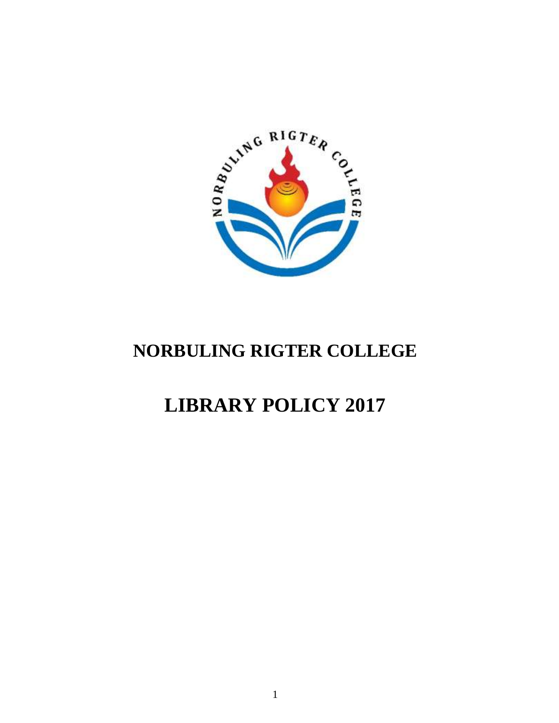

# **NORBULING RIGTER COLLEGE**

# **LIBRARY POLICY 2017**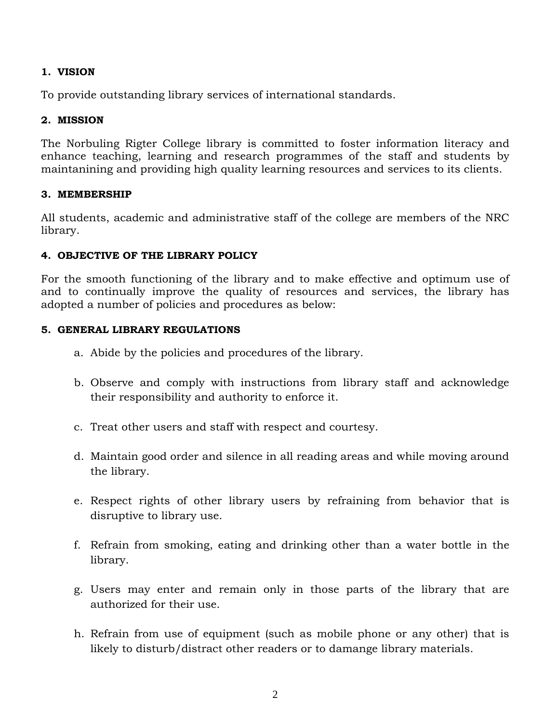# **1. VISION**

To provide outstanding library services of international standards.

# **2. MISSION**

The Norbuling Rigter College library is committed to foster information literacy and enhance teaching, learning and research programmes of the staff and students by maintanining and providing high quality learning resources and services to its clients.

# **3. MEMBERSHIP**

All students, academic and administrative staff of the college are members of the NRC library.

# **4. OBJECTIVE OF THE LIBRARY POLICY**

For the smooth functioning of the library and to make effective and optimum use of and to continually improve the quality of resources and services, the library has adopted a number of policies and procedures as below:

# **5. GENERAL LIBRARY REGULATIONS**

- a. Abide by the policies and procedures of the library.
- b. Observe and comply with instructions from library staff and acknowledge their responsibility and authority to enforce it.
- c. Treat other users and staff with respect and courtesy.
- d. Maintain good order and silence in all reading areas and while moving around the library.
- e. Respect rights of other library users by refraining from behavior that is disruptive to library use.
- f. Refrain from smoking, eating and drinking other than a water bottle in the library.
- g. Users may enter and remain only in those parts of the library that are authorized for their use.
- h. Refrain from use of equipment (such as mobile phone or any other) that is likely to disturb/distract other readers or to damange library materials.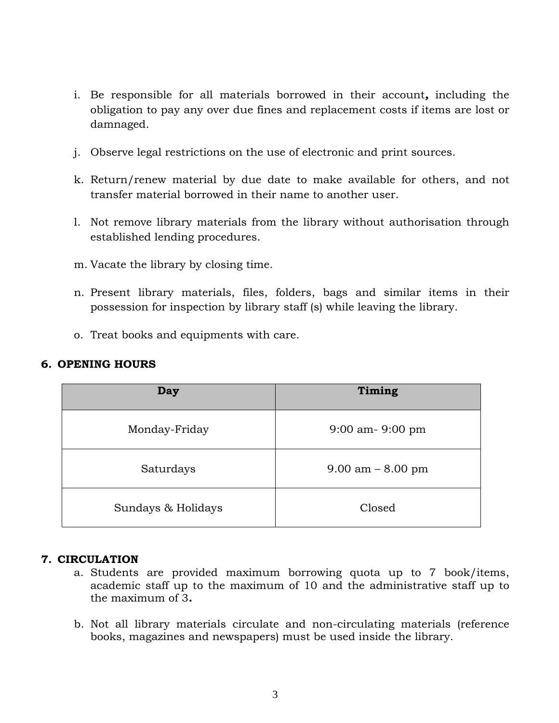- i. Be responsible for all materials borrowed in their account*,* including the obligation to pay any over due fines and replacement costs if items are lost or damnaged.
- j. Observe legal restrictions on the use of electronic and print sources.
- k. Return/renew material by due date to make available for others, and not transfer material borrowed in their name to another user.
- l. Not remove library materials from the library without authorisation through established lending procedures.
- m. Vacate the library by closing time.
- n. Present library materials, files, folders, bags and similar items in their possession for inspection by library staff (s) while leaving the library.
- o. Treat books and equipments with care.

# **6. OPENING HOURS**

| Day                | Timing                |  |
|--------------------|-----------------------|--|
| Monday-Friday      | $9:00$ am- $9:00$ pm  |  |
| Saturdays          | $9.00$ am $- 8.00$ pm |  |
| Sundays & Holidays | Closed                |  |

# **7. CIRCULATION**

- a. Students are provided maximum borrowing quota up to 7 book/items, academic staff up to the maximum of 10 and the administrative staff up to the maximum of 3*.*
- b. Not all library materials circulate and non-circulating materials (reference books, magazines and newspapers) must be used inside the library.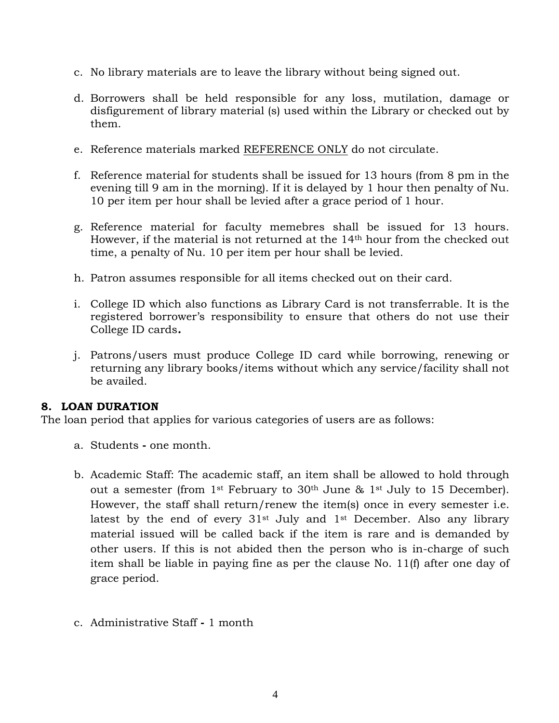- c. No library materials are to leave the library without being signed out.
- d. Borrowers shall be held responsible for any loss, mutilation, damage or disfigurement of library material (s) used within the Library or checked out by them.
- e. Reference materials marked REFERENCE ONLY do not circulate.
- f. Reference material for students shall be issued for 13 hours (from 8 pm in the evening till 9 am in the morning). If it is delayed by 1 hour then penalty of Nu. 10 per item per hour shall be levied after a grace period of 1 hour.
- g. Reference material for faculty memebres shall be issued for 13 hours. However, if the material is not returned at the 14<sup>th</sup> hour from the checked out time, a penalty of Nu. 10 per item per hour shall be levied.
- h. Patron assumes responsible for all items checked out on their card.
- i. College ID which also functions as Library Card is not transferrable. It is the registered borrower's responsibility to ensure that others do not use their College ID cards*.*
- j. Patrons/users must produce College ID card while borrowing, renewing or returning any library books/items without which any service/facility shall not be availed.

# **8. LOAN DURATION**

The loan period that applies for various categories of users are as follows:

- a. Students **-** one month.
- b. Academic Staff: The academic staff, an item shall be allowed to hold through out a semester (from 1st February to 30th June & 1st July to 15 December). However, the staff shall return/renew the item(s) once in every semester i.e. latest by the end of every  $31^{st}$  July and  $1^{st}$  December. Also any library material issued will be called back if the item is rare and is demanded by other users. If this is not abided then the person who is in-charge of such item shall be liable in paying fine as per the clause No. 11(f) after one day of grace period.
- c. Administrative Staff **-** 1 month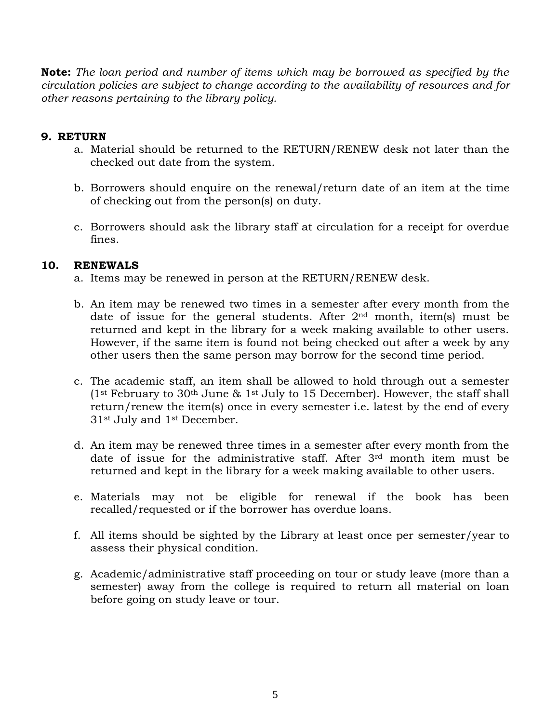**Note:** *The loan period and number of items which may be borrowed as specified by the circulation policies are subject to change according to the availability of resources and for other reasons pertaining to the library policy.*

# **9. RETURN**

- a. Material should be returned to the RETURN/RENEW desk not later than the checked out date from the system.
- b. Borrowers should enquire on the renewal/return date of an item at the time of checking out from the person(s) on duty.
- c. Borrowers should ask the library staff at circulation for a receipt for overdue fines.

# **10. RENEWALS**

- a. Items may be renewed in person at the RETURN/RENEW desk.
- b. An item may be renewed two times in a semester after every month from the date of issue for the general students. After  $2<sup>nd</sup>$  month, item(s) must be returned and kept in the library for a week making available to other users. However, if the same item is found not being checked out after a week by any other users then the same person may borrow for the second time period.
- c. The academic staff, an item shall be allowed to hold through out a semester (1<sup>st</sup> February to 30<sup>th</sup> June & 1<sup>st</sup> July to 15 December). However, the staff shall return/renew the item(s) once in every semester i.e. latest by the end of every 31st July and 1st December.
- d. An item may be renewed three times in a semester after every month from the date of issue for the administrative staff. After 3rd month item must be returned and kept in the library for a week making available to other users.
- e. Materials may not be eligible for renewal if the book has been recalled/requested or if the borrower has overdue loans.
- f. All items should be sighted by the Library at least once per semester/year to assess their physical condition.
- g. Academic/administrative staff proceeding on tour or study leave (more than a semester) away from the college is required to return all material on loan before going on study leave or tour.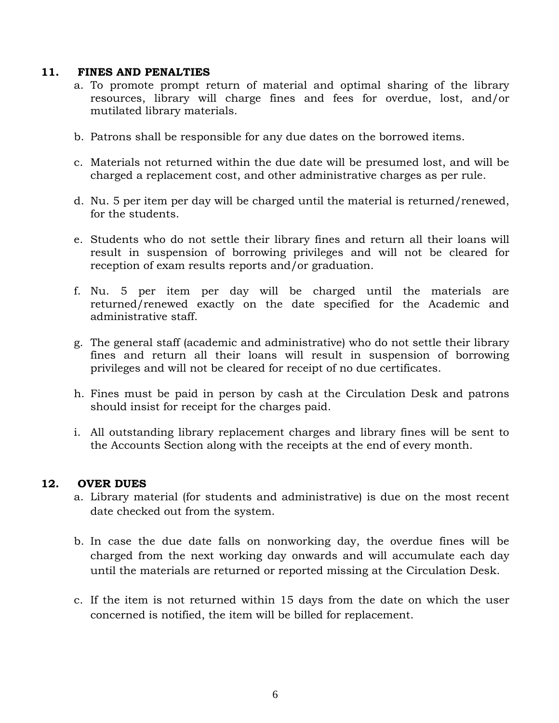#### **11. FINES AND PENALTIES**

- a. To promote prompt return of material and optimal sharing of the library resources, library will charge fines and fees for overdue, lost, and/or mutilated library materials.
- b. Patrons shall be responsible for any due dates on the borrowed items.
- c. Materials not returned within the due date will be presumed lost, and will be charged a replacement cost, and other administrative charges as per rule.
- d. Nu. 5 per item per day will be charged until the material is returned/renewed, for the students.
- e. Students who do not settle their library fines and return all their loans will result in suspension of borrowing privileges and will not be cleared for reception of exam results reports and/or graduation.
- f. Nu. 5 per item per day will be charged until the materials are returned/renewed exactly on the date specified for the Academic and administrative staff.
- g. The general staff (academic and administrative) who do not settle their library fines and return all their loans will result in suspension of borrowing privileges and will not be cleared for receipt of no due certificates.
- h. Fines must be paid in person by cash at the Circulation Desk and patrons should insist for receipt for the charges paid.
- i. All outstanding library replacement charges and library fines will be sent to the Accounts Section along with the receipts at the end of every month.

# **12. OVER DUES**

- a. Library material (for students and administrative) is due on the most recent date checked out from the system.
- b. In case the due date falls on nonworking day, the overdue fines will be charged from the next working day onwards and will accumulate each day until the materials are returned or reported missing at the Circulation Desk.
- c. If the item is not returned within 15 days from the date on which the user concerned is notified, the item will be billed for replacement.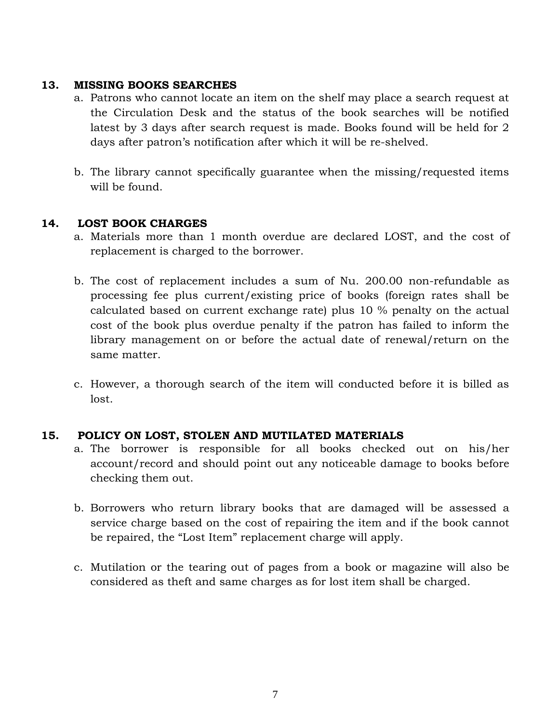# **13. MISSING BOOKS SEARCHES**

- a. Patrons who cannot locate an item on the shelf may place a search request at the Circulation Desk and the status of the book searches will be notified latest by 3 days after search request is made. Books found will be held for 2 days after patron's notification after which it will be re-shelved.
- b. The library cannot specifically guarantee when the missing/requested items will be found.

# **14. LOST BOOK CHARGES**

- a. Materials more than 1 month overdue are declared LOST, and the cost of replacement is charged to the borrower.
- b. The cost of replacement includes a sum of Nu. 200.00 non-refundable as processing fee plus current/existing price of books (foreign rates shall be calculated based on current exchange rate) plus 10 % penalty on the actual cost of the book plus overdue penalty if the patron has failed to inform the library management on or before the actual date of renewal/return on the same matter.
- c. However, a thorough search of the item will conducted before it is billed as lost.

# **15. POLICY ON LOST, STOLEN AND MUTILATED MATERIALS**

- a. The borrower is responsible for all books checked out on his/her account/record and should point out any noticeable damage to books before checking them out.
- b. Borrowers who return library books that are damaged will be assessed a service charge based on the cost of repairing the item and if the book cannot be repaired, the "Lost Item" replacement charge will apply.
- c. Mutilation or the tearing out of pages from a book or magazine will also be considered as theft and same charges as for lost item shall be charged.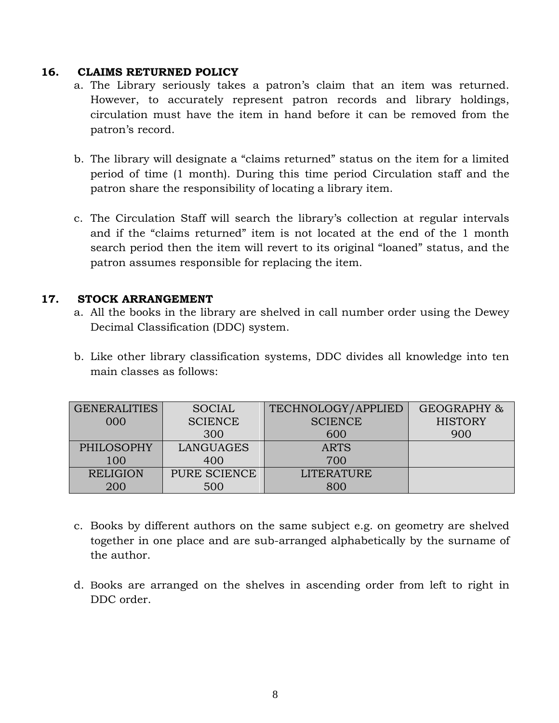### **16. CLAIMS RETURNED POLICY**

- a. The Library seriously takes a patron's claim that an item was returned. However, to accurately represent patron records and library holdings, circulation must have the item in hand before it can be removed from the patron's record.
- b. The library will designate a "claims returned" status on the item for a limited period of time (1 month). During this time period Circulation staff and the patron share the responsibility of locating a library item.
- c. The Circulation Staff will search the library's collection at regular intervals and if the "claims returned" item is not located at the end of the 1 month search period then the item will revert to its original "loaned" status, and the patron assumes responsible for replacing the item.

# **17. STOCK ARRANGEMENT**

- a. All the books in the library are shelved in call number order using the Dewey Decimal Classification (DDC) system.
- b. Like other library classification systems, DDC divides all knowledge into ten main classes as follows:

| <b>GENERALITIES</b> | <b>SOCIAL</b>  | TECHNOLOGY/APPLIED | GEOGRAPHY &    |
|---------------------|----------------|--------------------|----------------|
| 000                 | <b>SCIENCE</b> | <b>SCIENCE</b>     | <b>HISTORY</b> |
|                     | 300            | 600                | 900            |
| <b>PHILOSOPHY</b>   | LANGUAGES      | <b>ARTS</b>        |                |
| 100                 | 400            | 700                |                |
| <b>RELIGION</b>     | PURE SCIENCE   | <b>LITERATURE</b>  |                |
| 200                 | 500            | 800                |                |

- c. Books by different authors on the same subject e.g. on geometry are shelved together in one place and are sub-arranged alphabetically by the surname of the author.
- d. Books are arranged on the shelves in ascending order from left to right in DDC order.